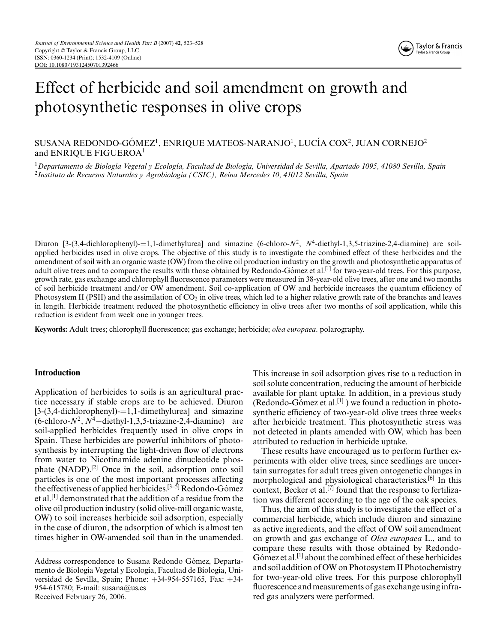# Effect of herbicide and soil amendment on growth and photosynthetic responses in olive crops

## SUSANA REDONDO-GÓMEZ<sup>1</sup>, ENRIQUE MATEOS-NARANJO<sup>1</sup>, LUCÍA COX<sup>2</sup>, JUAN CORNEJO<sup>2</sup> and ENRIOUE FIGUEROA<sup>1</sup>

<sup>1</sup>*Departamento de Biolog´ıa Vegetal y Ecolog´ıa, Facultad de Biolog´ıa, Universidad de Sevilla, Apartado 1095, 41080 Sevilla, Spain* <sup>2</sup>*Instituto de Recursos Naturales y Agrobiolog´ıa (CSIC), Reina Mercedes 10, 41012 Sevilla, Spain*

Diuron  $[3-(3,4-dichlorophenyl)-1,1-dimethylurea]$  and simazine  $(6-chloro-N^2, N^4-diethyl-1,3,5-triazine-2,4-diamine)$  are soilapplied herbicides used in olive crops. The objective of this study is to investigate the combined effect of these herbicides and the amendment of soil with an organic waste (OW) from the olive oil production industry on the growth and photosynthetic apparatus of adult olive trees and to compare the results with those obtained by Redondo-Gómez et al.<sup>[1]</sup> for two-year-old trees. For this purpose, growth rate, gas exchange and chlorophyll fluorescence parameters were measured in 38-year-old olive trees, after one and two months of soil herbicide treatment and/or OW amendment. Soil co-application of OW and herbicide increases the quantum efficiency of Photosystem II (PSII) and the assimilation of  $CO<sub>2</sub>$  in olive trees, which led to a higher relative growth rate of the branches and leaves in length. Herbicide treatment reduced the photosynthetic efficiency in olive trees after two months of soil application, while this reduction is evident from week one in younger trees.

**Keywords:** Adult trees; chlorophyll fluorescence; gas exchange; herbicide; *olea europaea*. polarography.

### **Introduction**

Application of herbicides to soils is an agricultural practice necessary if stable crops are to be achieved. Diuron  $[3-(3,4-dichloropheny)] = 1,1-dimethylurea]$  and simazine (6-chloro-*N*<sup>2</sup>, *<sup>N</sup>*<sup>4</sup>−diethyl-1,3,5-triazine-2,4-diamine) are soil-applied herbicides frequently used in olive crops in Spain. These herbicides are powerful inhibitors of photosynthesis by interrupting the light-driven flow of electrons from water to Nicotinamide adenine dinucleotide phosphate (NADP).[2] Once in the soil, adsorption onto soil particles is one of the most important processes affecting the effectiveness of applied herbicides.<sup>[3–5]</sup> Redondo-Gómez et al.[1] demonstrated that the addition of a residue from the olive oil production industry (solid olive-mill organic waste, OW) to soil increases herbicide soil adsorption, especially in the case of diuron, the adsorption of which is almost ten times higher in OW-amended soil than in the unamended.

This increase in soil adsorption gives rise to a reduction in soil solute concentration, reducing the amount of herbicide available for plant uptake. In addition, in a previous study (Redondo-Gómez et al.<sup>[1]</sup>) we found a reduction in photosynthetic efficiency of two-year-old olive trees three weeks after herbicide treatment. This photosynthetic stress was not detected in plants amended with OW, which has been attributed to reduction in herbicide uptake.

These results have encouraged us to perform further experiments with older olive trees, since seedlings are uncertain surrogates for adult trees given ontogenetic changes in morphological and physiological characteristics.[6] In this context, Becker et al.[7] found that the response to fertilization was different according to the age of the oak species.

Thus, the aim of this study is to investigate the effect of a commercial herbicide, which include diuron and simazine as active ingredients, and the effect of OW soil amendment on growth and gas exchange of *Olea europaea* L., and to compare these results with those obtained by Redondo-Gómez et al.<sup>[1]</sup> about the combined effect of these herbicides and soil addition of OW on Photosystem II Photochemistry for two-year-old olive trees. For this purpose chlorophyll fluorescence and measurements of gas exchange using infrared gas analyzers were performed.

Address correspondence to Susana Redondo Gómez, Departamento de Biología Vegetal y Ecología, Facultad de Biología, Universidad de Sevilla, Spain; Phone: +34-954-557165, Fax: +34- 954-615780; E-mail: susana@us.es Received February 26, 2006.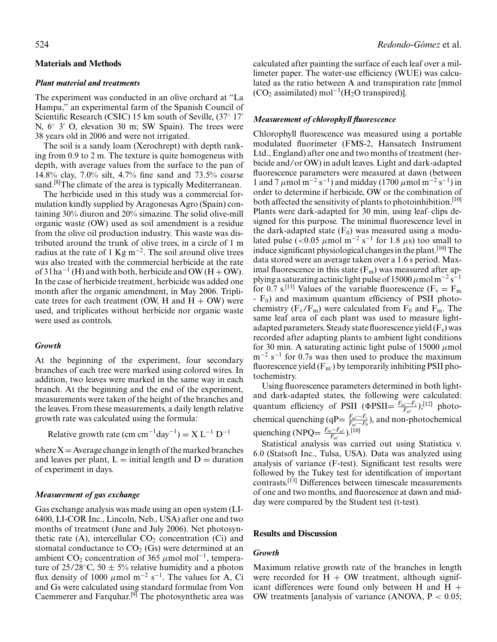### **Materials and Methods**

### *Plant material and treatments*

The experiment was conducted in an olive orchard at "La Hampa," an experimental farm of the Spanish Council of Scientific Research (CSIC) 15 km south of Seville, (37° 17′ N,  $6°$  3' O, elevation 30 m; SW Spain). The trees were 38 years old in 2006 and were not irrigated.

The soil is a sandy loam (Xerochrept) with depth ranking from 0.9 to 2 m. The texture is quite homogeneus with depth, with average values from the surface to the pan of 14.8% clay, 7.0% silt, 4.7% fine sand and 73.5% coarse sand.<sup>[8]</sup>The climate of the area is typically Mediterranean.

The herbicide used in this study was a commercial formulation kindly supplied by Aragonesas Agro (Spain) containing 30% diuron and 20% simazine. The solid olive-mill organic waste (OW) used as soil amendment is a residue from the olive oil production industry. This waste was distributed around the trunk of olive trees, in a circle of 1 m radius at the rate of 1 Kg m<sup>-2</sup>. The soil around olive trees was also treated with the commercial herbicide at the rate of  $3 \ln a^{-1}$  (H) and with both, herbicide and OW (H + OW). In the case of herbicide treatment, herbicide was added one month after the organic amendment, in May 2006. Triplicate trees for each treatment (OW, H and  $H + OW$ ) were used, and triplicates without herbicide nor organic waste were used as controls.

#### *Growth*

At the beginning of the experiment, four secondary branches of each tree were marked using colored wires. In addition, two leaves were marked in the same way in each branch. At the beginning and the end of the experiment, measurements were taken of the height of the branches and the leaves. From these measurements, a daily length relative growth rate was calculated using the formula:

Relative growth rate (cm cm<sup>-1</sup>day<sup>-1</sup>) =  $X L^{-1} D^{-1}$ 

where  $X =$  Average change in length of the marked branches and leaves per plant,  $L = \text{initial length}$  and  $D = \text{duration}$ of experiment in days.

## *Measurement of gas exchange*

Gas exchange analysis was made using an open system (LI-6400, LI-COR Inc., Lincoln, Neb., USA) after one and two months of treatment (June and July 2006). Net photosynthetic rate (A), intercellular  $CO<sub>2</sub>$  concentration (Ci) and stomatal conductance to  $CO<sub>2</sub>$  (Gs) were determined at an ambient CO<sub>2</sub> concentration of 365  $\mu$ mol mol<sup>-1</sup>, temperature of 25/28 $\degree$ C, 50  $\pm$  5% relative humidity and a photon flux density of 1000  $\mu$ mol m<sup>-2</sup> s<sup>-1</sup>. The values for A, Ci and Gs were calculated using standard formulae from Von Caemmerer and Farquhar.<sup>[9]</sup> The photosynthetic area was calculated after painting the surface of each leaf over a millimeter paper. The water-use efficiency (WUE) was calculated as the ratio between A and transpiration rate [mmol  $(CO<sub>2</sub>$  assimilated) mol<sup>-1</sup>(H<sub>2</sub>O transpired)].

## *Measurement of chlorophyll fluorescence*

Chlorophyll fluorescence was measured using a portable modulated fluorimeter (FMS-2, Hansatech Instrument Ltd., England) after one and two months of treatment (herbicide and/or OW) in adult leaves. Light and dark-adapted fluorescence parameters were measured at dawn (between 1 and 7  $\mu$ mol m<sup>-2</sup> s<sup>-1</sup>) and midday (1700  $\mu$ mol m<sup>-2</sup> s<sup>-1</sup>) in order to determine if herbicide, OW or the combination of both affected the sensitivity of plants to photoinhibition.<sup>[10]</sup> Plants were dark-adapted for 30 min, using leaf–clips designed for this purpose. The minimal fluorescence level in the dark-adapted state  $(F_0)$  was measured using a modulated pulse (<0.05  $\mu$ mol m<sup>-2</sup> s<sup>-1</sup> for 1.8  $\mu$ s) too small to induce significant physiological changes in the plant.[10] The data stored were an average taken over a 1.6 s period. Maximal fluorescence in this state  $(F_m)$  was measured after applying a saturating actinic light pulse of 15000  $\mu$ mol m<sup>-2</sup> s<sup>-1</sup> for 0.7 s.<sup>[11]</sup> Values of the variable fluorescence ( $F_v = F_m$ )  $-F<sub>0</sub>$ ) and maximum quantum efficiency of PSII photochemistry  $(F_v/F_m)$  were calculated from  $F_0$  and  $F_m$ . The same leaf area of each plant was used to measure lightadapted parameters. Steady state fluorescence yield  $(F_s)$  was recorded after adapting plants to ambient light conditions for 30 min. A saturating actinic light pulse of 15000  $\mu$ mol  $m^{-2}$  s<sup>-1</sup> for 0.7s was then used to produce the maximum fluorescence yield  $(F_{m})$  by temporarily inhibiting PSII photochemistry.

Using fluorescence parameters determined in both lightand dark-adapted states, the following were calculated: quantum efficiency of PSII ( $\Phi$ PSII=  $\frac{F_{m'} - F_s}{F_{m'}}$ );<sup>[12]</sup> photochemical quenching (qP=  $\frac{F_{m'}-F_s}{F_{m'}-F_0}$ ), and non-photochemical quenching (NPQ=  $\frac{F_m - F_{m'}}{F_{m'}}$ ).<sup>[10]</sup>

Statistical analysis was carried out using Statistica v. 6.0 (Statsoft Inc., Tulsa, USA). Data was analyzed using analysis of variance (F-test). Significant test results were followed by the Tukey test for identification of important contrasts.[13] Differences between timescale measurements of one and two months, and fluorescence at dawn and midday were compared by the Student test (t-test).

#### **Results and Discussion**

## *Growth*

Maximum relative growth rate of the branches in length were recorded for  $H + OW$  treatment, although significant differences were found only between H and  $H +$ OW treatments [analysis of variance (ANOVA,  $P < 0.05$ ;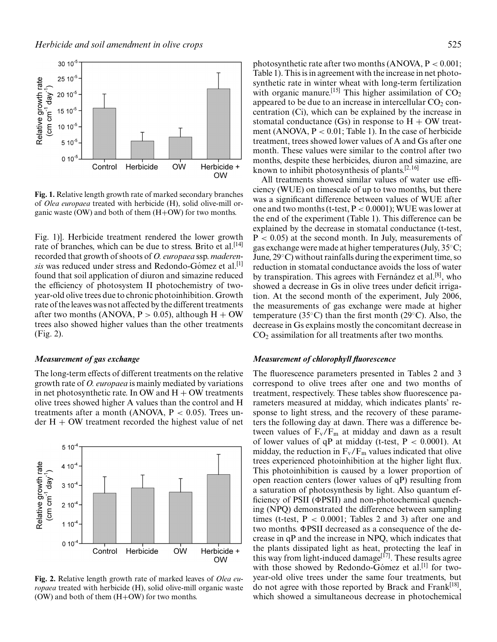

*Herbicide and soil amendment in olive crops* 525

**Fig. 1.** Relative length growth rate of marked secondary branches of *Olea europaea* treated with herbicide (H), solid olive-mill organic waste (OW) and both of them (H+OW) for two months.

Fig. 1)]. Herbicide treatment rendered the lower growth rate of branches, which can be due to stress. Brito et al.<sup>[14]</sup> recorded that growth of shoots of *O. europaea* ssp. *maderensis* was reduced under stress and Redondo-Gómez et al.<sup>[1]</sup> found that soil application of diuron and simazine reduced the efficiency of photosystem II photochemistry of twoyear-old olive trees due to chronic photoinhibition. Growth rate of the leaves was not affected by the different treatments after two months (ANOVA,  $P > 0.05$ ), although  $H + OW$ trees also showed higher values than the other treatments (Fig. 2).

#### *Measurement of gas exchange*

The long-term effects of different treatments on the relative growth rate of *O. europaea* is mainly mediated by variations in net photosynthetic rate. In OW and  $H + OW$  treatments olive trees showed higher A values than the control and H treatments after a month (ANOVA,  $P < 0.05$ ). Trees under  $H + OW$  treatment recorded the highest value of net



**Fig. 2.** Relative length growth rate of marked leaves of *Olea europaea* treated with herbicide (H), solid olive-mill organic waste (OW) and both of them  $(H+OW)$  for two months.

photosynthetic rate after two months  $(ANOVA, P < 0.001;$ Table 1). This is in agreement with the increase in net photosynthetic rate in winter wheat with long-term fertilization with organic manure.<sup>[15]</sup> This higher assimilation of  $CO<sub>2</sub>$ appeared to be due to an increase in intercellular  $CO<sub>2</sub>$  concentration (Ci), which can be explained by the increase in stomatal conductance (Gs) in response to  $H + OW$  treatment (ANOVA,  $P < 0.01$ ; Table 1). In the case of herbicide treatment, trees showed lower values of A and Gs after one month. These values were similar to the control after two months, despite these herbicides, diuron and simazine, are known to inhibit photosynthesis of plants.[2,16]

All treatments showed similar values of water use efficiency (WUE) on timescale of up to two months, but there was a significant difference between values of WUE after one and two months (t-test,  $P < 0.0001$ ); WUE was lower at the end of the experiment (Table 1). This difference can be explained by the decrease in stomatal conductance (t-test,  $P < 0.05$ ) at the second month. In July, measurements of gas exchange were made at higher temperatures (July, 35◦C; June, 29◦C) without rainfalls during the experiment time, so reduction in stomatal conductance avoids the loss of water by transpiration. This agrees with Fernandez et al.<sup>[8]</sup>, who showed a decrease in Gs in olive trees under deficit irrigation. At the second month of the experiment, July 2006, the measurements of gas exchange were made at higher temperature (35◦C) than the first month (29◦C). Also, the decrease in Gs explains mostly the concomitant decrease in  $CO<sub>2</sub>$  assimilation for all treatments after two months.

#### *Measurement of chlorophyll fluorescence*

The fluorescence parameters presented in Tables 2 and 3 correspond to olive trees after one and two months of treatment, respectively. These tables show fluorescence parameters measured at midday, which indicates plants' response to light stress, and the recovery of these parameters the following day at dawn. There was a difference between values of  $F_v/F_m$  at midday and dawn as a result of lower values of qP at midday (t-test,  $P < 0.0001$ ). At midday, the reduction in  $F_v/F_m$  values indicated that olive trees experienced photoinhibition at the higher light flux. This photoinhibition is caused by a lower proportion of open reaction centers (lower values of qP) resulting from a saturation of photosynthesis by light. Also quantum efficiency of PSII ( $\Phi$ PSII) and non-photochemical quenching (NPQ) demonstrated the difference between sampling times (t-test,  $P < 0.0001$ ; Tables 2 and 3) after one and two months.  $\Phi$ PSII decreased as a consequence of the decrease in qP and the increase in NPQ, which indicates that the plants dissipated light as heat, protecting the leaf in this way from light-induced damage<sup>[17]</sup>. These results agree with those showed by Redondo-Gómez et al.<sup>[1]</sup> for twoyear-old olive trees under the same four treatments, but do not agree with those reported by Brack and Frank<sup>[18]</sup>, which showed a simultaneous decrease in photochemical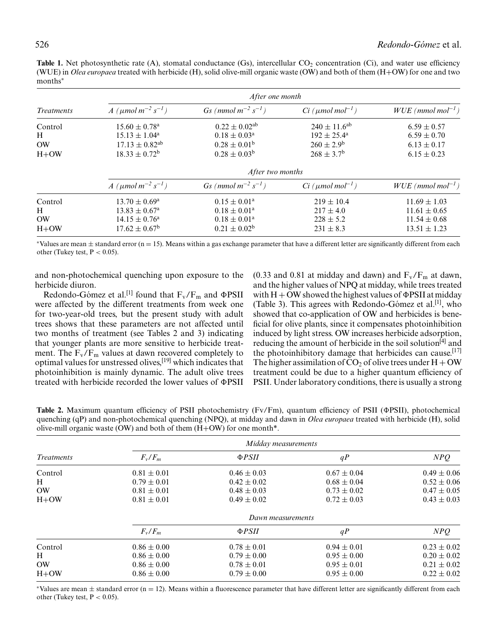**Table 1.** Net photosynthetic rate (A), stomatal conductance (Gs), intercellular CO<sub>2</sub> concentration (Ci), and water use efficiency (WUE) in *Olea europaea* treated with herbicide (H), solid olive-mill organic waste (OW) and both of them (H+OW) for one and two months∗

| <i>Treatments</i>                   | After one month                                                                                                |                                                                                                          |                                                                                                 |                                                                              |  |  |
|-------------------------------------|----------------------------------------------------------------------------------------------------------------|----------------------------------------------------------------------------------------------------------|-------------------------------------------------------------------------------------------------|------------------------------------------------------------------------------|--|--|
|                                     | $A \ ( \mu mol \, m^{-2} \, s^{-1})$                                                                           | $Gs \ (mmol\ m^{-2}\ s^{-1})$                                                                            | $Ci$ (µmol mol <sup>-1</sup> )                                                                  | $WUE$ (mmol mol <sup>-1</sup> )                                              |  |  |
| Control<br>H<br><b>OW</b><br>$H+OW$ | $15.60 \pm 0.78$ <sup>a</sup><br>$15.13 \pm 1.04^{\rm a}$<br>$17.13 \pm 0.82^{ab}$<br>$18.33 \pm 0.72^{\rm b}$ | $0.22 \pm 0.02$ <sup>ab</sup><br>$0.18 \pm 0.03^{\rm a}$<br>$0.28 \pm 0.01^{\rm b}$<br>$0.28 \pm 0.03^b$ | $240 \pm 11.6^{ab}$<br>$192 \pm 25.4^{\circ}$<br>$260 \pm 2.9^{\rm b}$<br>$268 \pm 3.7^{\rm b}$ | $6.59 \pm 0.57$<br>$6.59 \pm 0.70$<br>$6.13 \pm 0.17$<br>$6.15 \pm 0.23$     |  |  |
|                                     | After two months                                                                                               |                                                                                                          |                                                                                                 |                                                                              |  |  |
|                                     | $A \ ( \mu mol \, m^{-2} \, s^{-1})$                                                                           | $Gs \ (mmol\ m^{-2}\ s^{-1})$                                                                            | $Ci$ (µmol mol <sup>-1</sup> )                                                                  | $WUE$ (mmol mol <sup>-1</sup> )                                              |  |  |
| Control<br>H<br><b>OW</b><br>$H+OW$ | $13.70 \pm 0.69^{\rm a}$<br>$13.83 \pm 0.67^{\circ}$<br>$14.15 \pm 0.76^{\circ}$<br>$17.62 \pm 0.67^{\rm b}$   | $0.15 \pm 0.01^{\rm a}$<br>$0.18 \pm 0.01^a$<br>$0.18 \pm 0.01^a$<br>$0.21 \pm 0.02^b$                   | $219 \pm 10.4$<br>$217 \pm 4.0$<br>$228 \pm 5.2$<br>$231 \pm 8.3$                               | $11.69 \pm 1.03$<br>$11.61 \pm 0.65$<br>$11.54 \pm 0.68$<br>$13.51 \pm 1.23$ |  |  |

\*Values are mean  $\pm$  standard error (n = 15). Means within a gas exchange parameter that have a different letter are significantly different from each other (Tukey test,  $P < 0.05$ ).

and non-photochemical quenching upon exposure to the herbicide diuron.

Redondo-Gómez et al.<sup>[1]</sup> found that  $F_v/F_m$  and  $\Phi$ PSII were affected by the different treatments from week one for two-year-old trees, but the present study with adult trees shows that these parameters are not affected until two months of treatment (see Tables 2 and 3) indicating that younger plants are more sensitive to herbicide treatment. The  $F_v/F_m$  values at dawn recovered completely to optimal values for unstressed olives,[19] which indicates that photoinhibition is mainly dynamic. The adult olive trees treated with herbicide recorded the lower values of  $\Phi$ PSII (0.33 and 0.81 at midday and dawn) and  $F_v/F_m$  at dawn, and the higher values of NPQ at midday, while trees treated with  $H + OW$  showed the highest values of  $\Phi$ PSII at midday (Table 3). This agrees with Redondo-Gómez et al.<sup>[1]</sup>, who showed that co-application of OW and herbicides is beneficial for olive plants, since it compensates photoinhibition induced by light stress. OW increases herbicide adsorption, reducing the amount of herbicide in the soil solution<sup>[4]</sup> and the photoinhibitory damage that herbicides can cause.<sup>[17]</sup> The higher assimilation of  $CO<sub>2</sub>$  of olive trees under  $H + OW$ treatment could be due to a higher quantum efficiency of PSII. Under laboratory conditions, there is usually a strong

**Table 2.** Maximum quantum efficiency of PSII photochemistry (Fv/Fm), quantum efficiency of PSII ( $\Phi$ PSII), photochemical quenching (qP) and non-photochemical quenching (NPQ), at midday and dawn in *Olea europaea* treated with herbicide (H), solid olive-mill organic waste (OW) and both of them  $(H+OW)$  for one month\*.

| <i>Treatments</i> | Midday measurements |                    |                 |                 |  |  |
|-------------------|---------------------|--------------------|-----------------|-----------------|--|--|
|                   | $F_v/F_m$           | $\Phi$ <i>PSII</i> | qP              | NPQ             |  |  |
| Control           | $0.81 \pm 0.01$     | $0.46 \pm 0.03$    | $0.67 \pm 0.04$ | $0.49 \pm 0.06$ |  |  |
| Н                 | $0.79 \pm 0.01$     | $0.42 \pm 0.02$    | $0.68 \pm 0.04$ | $0.52 \pm 0.06$ |  |  |
| <b>OW</b>         | $0.81 \pm 0.01$     | $0.48 \pm 0.03$    | $0.73 \pm 0.02$ | $0.47 \pm 0.05$ |  |  |
| $H+OW$            | $0.81 \pm 0.01$     | $0.49 \pm 0.02$    | $0.72 \pm 0.03$ | $0.43 \pm 0.03$ |  |  |
|                   | Dawn measurements   |                    |                 |                 |  |  |
|                   | $F_v/F_m$           | $\Phi$ <i>PSII</i> | qP              | NPQ             |  |  |
| Control           | $0.86 \pm 0.00$     | $0.78 \pm 0.01$    | $0.94 \pm 0.01$ | $0.23 \pm 0.02$ |  |  |
| Н                 | $0.86 \pm 0.00$     | $0.79 \pm 0.00$    | $0.95 \pm 0.00$ | $0.20 \pm 0.02$ |  |  |
| <b>OW</b>         | $0.86 \pm 0.00$     | $0.78 \pm 0.01$    | $0.95 \pm 0.01$ | $0.21 \pm 0.02$ |  |  |
| $H+OW$            | $0.86 \pm 0.00$     | $0.79 \pm 0.00$    | $0.95 \pm 0.00$ | $0.22 \pm 0.02$ |  |  |

\*Values are mean  $\pm$  standard error (n = 12). Means within a fluorescence parameter that have different letter are significantly different from each other (Tukey test,  $P < 0.05$ ).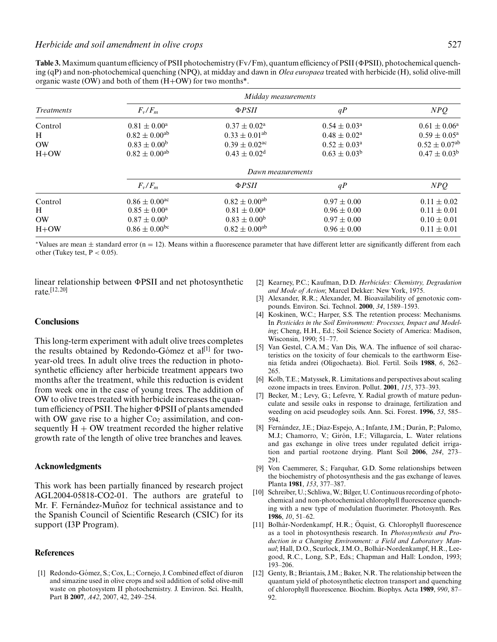**Table 3.** Maximum quantum efficiency of PSII photochemistry (Fy/Fm), quantum efficiency of PSII ( $\Phi$ PSII), photochemical quenching (qP) and non-photochemical quenching (NPQ), at midday and dawn in *Olea europaea* treated with herbicide (H), solid olive-mill organic waste (OW) and both of them  $(H+OW)$  for two months<sup>\*</sup>.

*Herbicide and soil amendment in olive crops* 527

| <i>Treatments</i>                   | Midday measurements                                                                                   |                                                                                                          |                                                                                                       |                                                                                                       |  |  |
|-------------------------------------|-------------------------------------------------------------------------------------------------------|----------------------------------------------------------------------------------------------------------|-------------------------------------------------------------------------------------------------------|-------------------------------------------------------------------------------------------------------|--|--|
|                                     | $F_v/F_m$                                                                                             | $\Phi$ <i>PSII</i>                                                                                       | qP                                                                                                    | NPQ                                                                                                   |  |  |
| Control<br>Н<br><b>OW</b><br>$H+OW$ | $0.81 \pm 0.00^{\rm a}$<br>$0.82 \pm 0.00^{ab}$<br>$0.83 \pm 0.00^b$<br>$0.82 \pm 0.00^{ab}$          | $0.37 \pm 0.02^{\text{a}}$<br>$0.33 \pm 0.01^{ab}$<br>$0.39 \pm 0.02$ <sup>ac</sup><br>$0.43 \pm 0.02^d$ | $0.54 \pm 0.03^{\rm a}$<br>$0.48 \pm 0.02^{\text{a}}$<br>$0.52 \pm 0.03^{\rm a}$<br>$0.63 \pm 0.03^b$ | $0.61 \pm 0.06^a$<br>$0.59 \pm 0.05^{\text{a}}$<br>$0.52 \pm 0.07$ <sup>ab</sup><br>$0.47 \pm 0.03^b$ |  |  |
|                                     | Dawn measurements                                                                                     |                                                                                                          |                                                                                                       |                                                                                                       |  |  |
|                                     | $F_v/F_m$                                                                                             | $\Phi$ <i>PSII</i>                                                                                       | qP                                                                                                    | NPQ                                                                                                   |  |  |
| Control<br>Н<br><b>OW</b><br>$H+OW$ | $0.86 \pm 0.00$ <sup>ac</sup><br>$0.85 \pm 0.00^a$<br>$0.87 \pm 0.00^{\rm b}$<br>$0.86 \pm 0.00^{bc}$ | $0.82 \pm 0.00^{ab}$<br>$0.81 \pm 0.00^a$<br>$0.83 \pm 0.00^b$<br>$0.82 \pm 0.00^{ab}$                   | $0.97 \pm 0.00$<br>$0.96 \pm 0.00$<br>$0.97 \pm 0.00$<br>$0.96 \pm 0.00$                              | $0.11 \pm 0.02$<br>$0.11 \pm 0.01$<br>$0.10 \pm 0.01$<br>$0.11 \pm 0.01$                              |  |  |

 $*$ Values are mean  $\pm$  standard error (n = 12). Means within a fluorescence parameter that have different letter are significantly different from each other (Tukey test,  $P < 0.05$ ).

linear relationship between  $\Phi$ PSII and net photosynthetic rate. [12,20]

**Conclusions**

This long-term experiment with adult olive trees completes the results obtained by Redondo-Gómez et al $^{[1]}$  for twoyear-old trees. In adult olive trees the reduction in photosynthetic efficiency after herbicide treatment appears two months after the treatment, while this reduction is evident from week one in the case of young trees. The addition of OW to olive trees treated with herbicide increases the quantum efficiency of PSII. The higher  $\Phi$ PSII of plants amended with OW gave rise to a higher  $Co<sub>2</sub>$  assimilation, and consequently  $H + OW$  treatment recorded the higher relative growth rate of the length of olive tree branches and leaves.

#### **Acknowledgments**

This work has been partially financed by research project AGL2004-05818-CO2-01. The authors are grateful to Mr. F. Fernández-Muñoz for technical assistance and to the Spanish Council of Scientific Research (CSIC) for its support (I3P Program).

## **References**

[1] Redondo-Gómez, S.; Cox, L.; Cornejo, J. Combined effect of diuron and simazine used in olive crops and soil addition of solid olive-mill waste on photosystem II photochemistry. J. Environ. Sci. Health, Part B **2007**, *A42*, 2007, 42, 249–254.

- [2] Kearney, P.C.; Kaufman, D.D. *Herbicides: Chemistry, Degradation and Mode of Action*; Marcel Dekker: New York, 1975.
- [3] Alexander, R.R.; Alexander, M. Bioavailability of genotoxic compounds. Environ. Sci. Technol. **2000**, *34*, 1589–1593.
- [4] Koskinen, W.C.; Harper, S.S. The retention process: Mechanisms. In *Pesticides in the Soil Environment: Processes, Impact and Modeling*; Cheng, H.H., Ed.; Soil Science Society of America: Madison, Wisconsin, 1990; 51–77.
- [5] Van Gestel, C.A.M.; Van Dis, W.A. The influence of soil characteristics on the toxicity of four chemicals to the earthworm Eisenia fetida andrei (Oligochaeta). Biol. Fertil. Soils **1988**, *6*, 262– 265.
- [6] Kolb, T.E.; Matyssek, R. Limitations and perspectives about scaling ozone impacts in trees. Environ. Pollut. **2001**, *115*, 373–393.
- [7] Becker, M.; Levy, G.; Lefevre, Y. Radial growth of mature pedunculate and sessile oaks in response to drainage, fertilization and weeding on acid pseudogley soils. Ann. Sci. Forest. **1996**, *53*, 585– 594.
- [8] Fernández, J.E.; Díaz-Espejo, A.; Infante, J.M.; Durán, P.; Palomo, M.J.; Chamorro, V.; Girón, I.F.; Villagarcía, L. Water relations and gas exchange in olive trees under regulated deficit irrigation and partial rootzone drying. Plant Soil **2006**, *284*, 273– 291.
- [9] Von Caemmerer, S.; Farquhar, G.D. Some relationships between the biochemistry of photosynthesis and the gas exchange of leaves. Planta **1981**, *153*, 377–387.
- [10] Schreiber, U.; Schliwa, W.; Bilger, U. Continuous recording of photochemical and non-photochemical chlorophyll fluorescence quenching with a new type of modulation fluorimeter. Photosynth. Res. **1986**, *10*, 51–62.
- [11] Bolhàr-Nordenkampf, H.R.; Öquist, G. Chlorophyll fluorescence as a tool in photosynthesis research. In *Photosynthesis and Production in a Changing Environment: a Field and Laboratory Man*ual; Hall, D.O., Scurlock, J.M.O., Bolhàr-Nordenkampf, H.R., Leegood, R.C., Long, S.P., Eds.; Chapman and Hall: London, 1993; 193–206.
- [12] Genty, B.; Briantais, J.M.; Baker, N.R. The relationship between the quantum yield of photosynthetic electron transport and quenching of chlorophyll fluorescence. Biochim. Biophys. Acta **1989**, *990*, 87– 92.